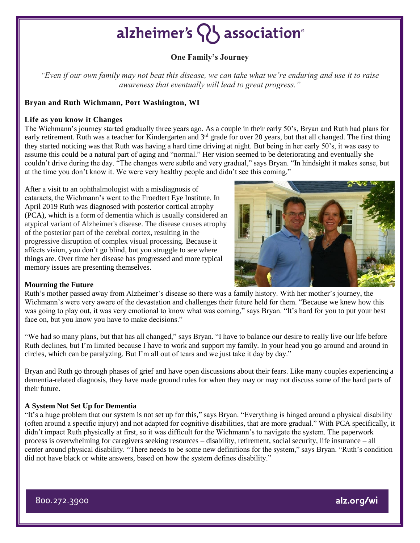## alzheimer's  $\{ \}$  association<sup>®</sup>

### **One Family's Journey**

*"Even if our own family may not beat this disease, we can take what we're enduring and use it to raise awareness that eventually will lead to great progress."*

#### **Bryan and Ruth Wichmann, Port Washington, WI**

#### **Life as you know it Changes**

The Wichmann's journey started gradually three years ago. As a couple in their early 50's, Bryan and Ruth had plans for early retirement. Ruth was a teacher for Kindergarten and 3<sup>rd</sup> grade for over 20 years, but that all changed. The first thing they started noticing was that Ruth was having a hard time driving at night. But being in her early 50's, it was easy to assume this could be a natural part of aging and "normal." Her vision seemed to be deteriorating and eventually she couldn't drive during the day. "The changes were subtle and very gradual," says Bryan. "In hindsight it makes sense, but at the time you don't know it. We were very healthy people and didn't see this coming."

After a visit to an ophthalmologist with a misdiagnosis of cataracts, the Wichmann's went to the Froedtert Eye Institute. In April 2019 Ruth was diagnosed with posterior cortical atrophy (PCA), which is a form of dementia which is usually considered an atypical variant of Alzheimer's disease. The disease causes atrophy of the posterior part of the cerebral cortex, resulting in the progressive disruption of complex visual processing. Because it affects vision, you don't go blind, but you struggle to see where things are. Over time her disease has progressed and more typical memory issues are presenting themselves.



#### **Mourning the Future**

Ruth's mother passed away from Alzheimer's disease so there was a family history. With her mother's journey, the Wichmann's were very aware of the devastation and challenges their future held for them. "Because we knew how this was going to play out, it was very emotional to know what was coming," says Bryan. "It's hard for you to put your best face on, but you know you have to make decisions."

"We had so many plans, but that has all changed," says Bryan. "I have to balance our desire to really live our life before Ruth declines, but I'm limited because I have to work and support my family. In your head you go around and around in circles, which can be paralyzing. But I'm all out of tears and we just take it day by day."

Bryan and Ruth go through phases of grief and have open discussions about their fears. Like many couples experiencing a dementia-related diagnosis, they have made ground rules for when they may or may not discuss some of the hard parts of their future.

#### **A System Not Set Up for Dementia**

"It's a huge problem that our system is not set up for this," says Bryan. "Everything is hinged around a physical disability (often around a specific injury) and not adapted for cognitive disabilities, that are more gradual." With PCA specifically, it didn't impact Ruth physically at first, so it was difficult for the Wichmann's to navigate the system. The paperwork process is overwhelming for caregivers seeking resources – disability, retirement, social security, life insurance – all center around physical disability. "There needs to be some new definitions for the system," says Bryan. "Ruth's condition did not have black or white answers, based on how the system defines disability."